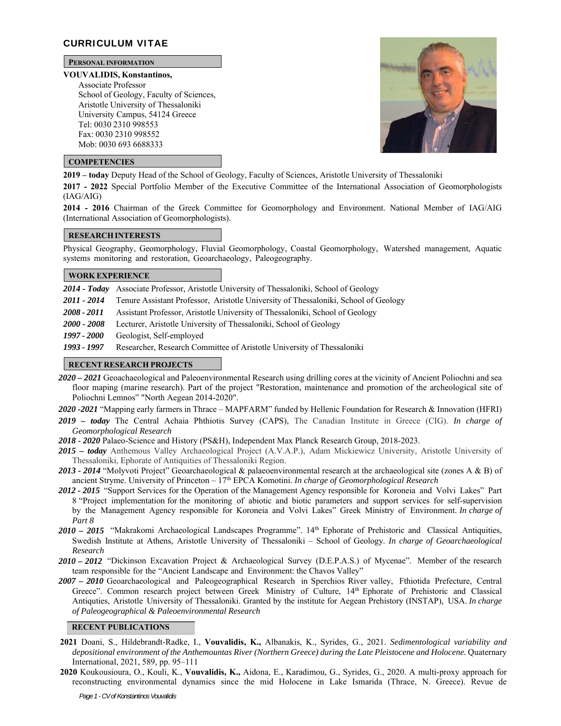# **CURRICULUM VITAE**

# **PERSONAL INFORMATION**

#### **VOUVALIDIS, Konstantinos,**

Associate Professor School of Geology, Faculty of Sciences, Aristotle University of Thessaloniki University Campus, 54124 Greece Tel: 0030 2310 998553 Fax: 0030 2310 998552 Mob: 0030 693 6688333



# **COMPETENCIES**

**2019 – today** Deputy Head of the School of Geology, Faculty of Sciences, Aristotle University of Thessaloniki

**2017 - 2022** Special Portfolio Member of the Executive Committee of the International Association of Geomorphologists (IAG/AIG)

**2014 - 2016** Chairman of the Greek Committee for Geomorphology and Environment. National Member of IAG/AIG (International Association of Geomorphologists).

### **RESEARCH INTERESTS**

Physical Geography, Geomorphology, Fluvial Geomorphology, Coastal Geomorphology, Watershed management, Aquatic systems monitoring and restoration, Geoarchaeology, Paleogeography.

# **WORK EXPERIENCE**

*2014 - Today* Associate Professor, Aristotle University of Thessaloniki, School of Geology

- 2011 2014 Tenure Assistant Professor, Aristotle University of Thessaloniki, School of Geology
- *2008 2011* Assistant Professor, Aristotle University of Thessaloniki, School of Geology

*2000 - 2008* Lecturer, Aristotle University of Thessaloniki, School of Geology

*1997 - 2000* Geologist, Self-employed

*1993 - 1997* Researcher, Research Committee of Aristotle University of Thessaloniki

# **RECENT RESEARCH PROJECTS**

*2020 – 2021* Geoachaeological and Paleoenvironmental Research using drilling cores at the vicinity of Ancient Poliochni and sea floor maping (marine research). Part of the project "Restoration, maintenance and promotion of the archeological site of Poliochni Lemnos" "North Aegean 2014-2020".

*2020 -2021* "Mapping early farmers in Thrace – MAPFARM" funded by Hellenic Foundation for Research & Innovation (HFRI)

- *2019 today* The Central Achaia Phthiotis Survey (CAPS), The Canadian Institute in Greece (CIG). *In charge of Geomorphological Research*
- *2018 2020* Palaeo-Science and History (PS&H), Independent Max Planck Research Group, 2018-2023.
- *2015 today* Anthemous Valley Archaeological Project (A.V.A.P.), Adam Mickiewicz University, Aristotle University of Thessaloniki, Ephorate of Antiquities of Thessaloniki Region.
- *2013 2014* "Molyvoti Project" Geoarchaeological & palaeoenvironmental research at the archaeological site (zones A & B) of ancient Stryme. University of Princeton – 17th EPCA Komotini. *In charge of Geomorphological Research*
- *2012 2015* "Support Services for the Operation of the Management Agency responsible for Koroneia and Volvi Lakes" Part 8 "Project implementation for the monitoring of abiotic and biotic parameters and support services for self-supervision by the Management Agency responsible for Koroneia and Volvi Lakes" Greek Ministry of Environment. *In charge of Part 8*
- *2010 2015* "Makrakomi Archaeological Landscapes Programme". 14th Ephorate of Prehistoric and Classical Antiquities, Swedish Institute at Athens, Aristotle University of Thessaloniki – School of Geology. *In charge of Geoarchaeological Research*
- *2010 2012* "Dickinson Excavation Project & Archaeological Survey (D.E.P.A.S.) of Mycenae". Member of the research team responsible for the "Ancient Landscape and Environment: the Chavos Valley"
- *2007 2010* Geoarchaeological and Paleogeographical Research in Sperchios River valley, Fthiotida Prefecture, Central Greece". Common research project between Greek Ministry of Culture, 14th Ephorate of Prehistoric and Classical Antiquties, Aristotle University of Thessaloniki. Granted by the institute for Aegean Prehistory (INSTAP), USA. *In charge of Paleogeographical & Paleoenvironmental Research*

### **RECENT PUBLICATIONS**

- **2021** Doani, S., Hildebrandt-Radke, I., **Vouvalidis, K.,** Albanakis, K., Syrides, G., 2021. *Sedimentological variability and depositional environment of the Anthemountas River (Northern Greece) during the Late Pleistocene and Holocene.* Quaternary International, 2021, 589, pp. 95–111
- **2020** Koukousioura, O., Kouli, K., **Vouvalidis, K.,** Aidona, E., Karadimou, G., Syrides, G., 2020. A multi-proxy approach for reconstructing environmental dynamics since the mid Holocene in Lake Ismarida (Thrace, N. Greece). Revue de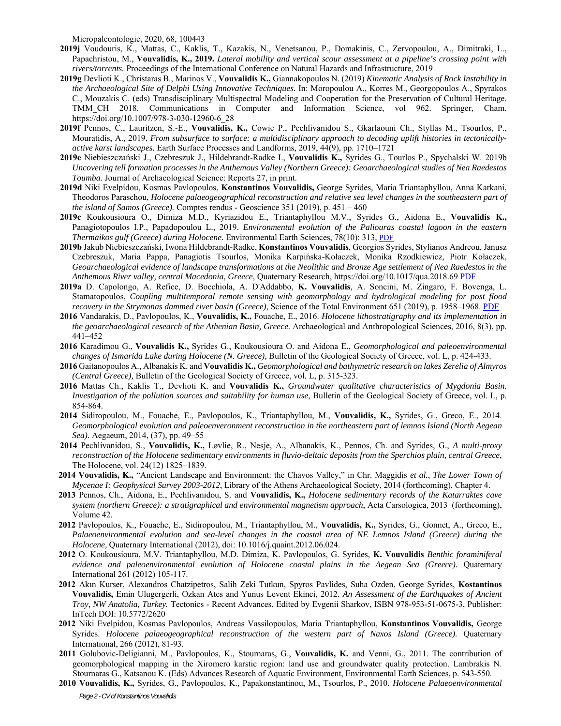Micropaleontologie, 2020, 68, 100443

- **2019j** Voudouris, K., Mattas, C., Kaklis, T., Kazakis, N., Venetsanou, P., Domakinis, C., Zervopoulou, A., Dimitraki, L., Papachristou, M., **Vouvalidis, K., 2019.** *Lateral mobility and vertical scour assessment at a pipeline's crossing point with rivers/torrents.* Proceedings of the International Conference on Natural Hazards and Infrastructure, 2019
- **2019g** Devlioti K., Christaras B., Marinos V., **Vouvalidis K.,** Giannakopoulos N. (2019) *Kinematic Analysis of Rock Instability in the Archaeological Site of Delphi Using Innovative Techniques.* In: Moropoulou A., Korres M., Georgopoulos A., Spyrakos C., Mouzakis C. (eds) Transdisciplinary Multispectral Modeling and Cooperation for the Preservation of Cultural Heritage. TMM\_CH 2018. Communications in Computer and Information Science, vol 962. Springer, Cham. https://doi.org/10.1007/978-3-030-12960-6\_28
- **2019f** Pennos, C., Lauritzen, S.-E., **Vouvalidis, K.,** Cowie P., Pechlivanidou S., Gkarlaouni Ch., Styllas M., Tsourlos, P., Mouratidis, A., 2019. *From subsurface to surface: a multidisciplinary approach to decoding uplift histories in tectonicallyactive karst landscapes.* Earth Surface Processes and Landforms, 2019, 44(9), pp. 1710–1721
- **2019e** Niebieszczański J., Czebreszuk J., Hildebrandt-Radke I., **Vouvalidis K.,** Syrides G., Tourlos P., Spychalski W. 2019b *Uncovering tell formation processes in the Anthemous Valley (Northern Greece): Geoarchaeological studies of Nea Raedestos Toumba*. Journal of Archaeological Science: Reports 27, in print.
- **2019d** Niki Evelpidou, Kosmas Pavlopoulos, **Konstantinos Vouvalidis,** George Syrides, Maria Triantaphyllou, Anna Karkani, Theodoros Paraschou, *Holocene palaeogeographical reconstruction and relative sea level changes in the southeastern part of the island of Samos (Greece).* Comptes rendus - Geoscience 351 (2019), p. 451 – 460
- **2019c** Koukousioura O., Dimiza M.D., Kyriazidou E., Triantaphyllou M.V., Syrides G., Aidona E., **Vouvalidis K.,** Panagiotopoulos I.P., Papadopoulou L., 2019. *Environmental evolution of the Paliouras coastal lagoon in the eastern Thermaikos gulf (Greece) during Holocene.* Environmental Earth Sciences, 78(10): 313, PDF
- **2019b** Jakub Niebieszczański, Iwona Hildebrandt-Radke, **Konstantinos Vouvalidis**, Georgios Syrides, Stylianos Andreou, Janusz Czebreszuk, Maria Pappa, Panagiotis Tsourlos, Monika Karpińska-Kołaczek, Monika Rzodkiewicz, Piotr Kołaczek, *Geoarchaeological evidence of landscape transformations at the Neolithic and Bronze Age settlement of Nea Raedestos in the Anthemous River valley, central Macedonia, Greece,* Quaternary Research, https://doi.org/10.1017/qua.2018.69 PDF
- **2019a** D. Capolongo, A. Refice, D. Bocchiola, A. D'Addabbo, **K. Vouvalidis**, A. Soncini, M. Zingaro, F. Bovenga, L. Stamatopoulos, *Coupling multitemporal remote sensing with geomorphology and hydrological modeling for post flood recovery in the Strymonas dammed river basin (Greece)*, Science of the Total Environment 651 (2019), p. 1958–1968. PDF
- **2016** Vandarakis, D., Pavlopoulos, K., **Vouvalidis, K.,** Fouache, E., 2016. *Holocene lithostratigraphy and its implementation in the geoarchaeological research of the Athenian Basin, Greece.* Archaeological and Anthropological Sciences, 2016, 8(3), pp. 441–452
- **2016** Karadimou G., **Vouvalidis K.,** Syrides G., Koukousioura O. and Aidona E., *Geomorphological and paleoenvironmental changes of Ismarida Lake during Holocene (N. Greece),* Bulletin of the Geological Society of Greece, vol. L, p. 424-433.
- **2016** Gaitanopoulos A., Albanakis K. and **Vouvalidis K.,** *Geomorphological and bathymetric research on lakes Zerelia of Almyros (Central Greece),* Bulletin of the Geological Society of Greece, vol. L, p. 315-323.
- **2016** Mattas Ch., Kaklis T., Devlioti K. and **Vouvalidis K.,** *Groundwater qualitative characteristics of Mygdonia Basin. Investigation of the pollution sources and suitability for human use*, Bulletin of the Geological Society of Greece, vol. L, p. 854-864.
- **2014** Sidiropoulou, M., Fouache, E., Pavlopoulos, K., Triantaphyllou, M., **Vouvalidis, K.,** Syrides, G., Greco, E., 2014. *Geomorphological evolution and paleoenveronment reconstruction in the northeastern part of lemnos Island (North Aegean Sea).* Aegaeum, 2014, (37), pp. 49–55
- **2014** Pechlivanidou, S., **Vouvalidis, K.,** Løvlie, R., Nesje, A., Albanakis, K., Pennos, Ch. and Syrides, G., *A multi-proxy reconstruction of the Holocene sedimentary environments in fluvio-deltaic deposits from the Sperchios plain, central Greece*, The Holocene, vol. 24(12) 1825–1839.
- **2014 Vouvalidis, K.,** "Ancient Landscape and Environment: the Chavos Valley," in Chr. Maggidis *et al.*, *The Lower Town of Mycenae I: Geophysical Survey 2003-2012*, Library of the Athens Archaeological Society, 2014 (forthcoming), Chapter 4.
- **2013** Pennos, Ch., Aidona, E., Pechlivanidou, S. and **Vouvalidis, K.,** *Holocene sedimentary records of the Katarraktes cave system (northern Greece): a stratigraphical and environmental magnetism approach*, Acta Carsologica, 2013 (forthcoming), Volume 42.
- **2012** Pavlopoulos, K., Fouache, E., Sidiropoulou, M., Triantaphyllou, M., **Vouvalidis, K.,** Syrides, G., Gonnet, A., Greco, E., Palaeoenvironmental evolution and sea-level changes in the coastal area of NE Lemnos Island (Greece) during the *Holocene,* Quaternary International (2012), doi: 10.1016/j.quaint.2012.06.024.
- **2012** O. Koukousioura, M.V. Triantaphyllou, M.D. Dimiza, K. Pavlopoulos, G. Syrides, **K. Vouvalidis** *Benthic foraminiferal evidence and paleoenvironmental evolution of Holocene coastal plains in the Aegean Sea (Greece).* Quaternary International 261 (2012) 105-117.
- **2012** Akın Kurser, Alexandros Chatzipetros, Salih Zeki Tutkun, Spyros Pavlides, Suha Ozden, George Syrides, **Kostantinos Vouvalidis,** Emin Ulugergerli, Ozkan Ates and Yunus Levent Ekinci, 2012. *An Assessment of the Earthquakes of Ancient Troy, NW Anatolia, Turkey.* Tectonics - Recent Advances. Edited by Evgenii Sharkov, ISBN 978-953-51-0675-3, Publisher: InTech DOI: 10.5772/2620
- **2012** Niki Evelpidou, Kosmas Pavlopoulos, Andreas Vassilopoulos, Maria Triantaphyllou, **Konstantinos Vouvalidis,** George Syrides. *Holocene palaeogeographical reconstruction of the western part of Naxos Island (Greece)*. Quaternary International, 266 (2012), 81-93.
- **2011** Golubovic-Deligianni, M., Pavlopoulos, K., Stournaras, G., **Vouvalidis, K.** and Venni, G., 2011. The contribution of geomorphological mapping in the Xiromero karstic region: land use and groundwater quality protection. Lambrakis N. Stournaras G., Katsanou K. (Eds) Advances Research of Aquatic Environment, Environmental Earth Sciences, p. 543-550.
- *Page 2 - CV of Konstantinos Vouvalidis* **2010 Vouvalidis, K.,** Syrides, G., Pavlopoulos, K., Papakonstantinou, M., Tsourlos, P., 2010. *Holocene Palaeoenvironmental*